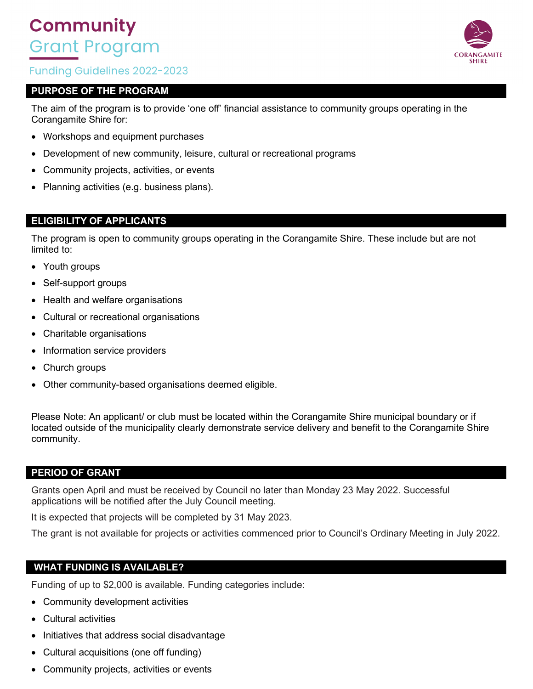# **Community** Grant Program

# **Funding Guidelines 2022-2023**

## **PURPOSE OF THE PROGRAM**

The aim of the program is to provide 'one off' financial assistance to community groups operating in the Corangamite Shire for:

- Workshops and equipment purchases
- Development of new community, leisure, cultural or recreational programs
- Community projects, activities, or events
- Planning activities (e.g. business plans).

## **ELIGIBILITY OF APPLICANTS**

The program is open to community groups operating in the Corangamite Shire. These include but are not limited to:

- Youth groups
- Self-support groups
- Health and welfare organisations
- Cultural or recreational organisations
- Charitable organisations
- Information service providers
- Church groups
- Other community-based organisations deemed eligible.

Please Note: An applicant/ or club must be located within the Corangamite Shire municipal boundary or if located outside of the municipality clearly demonstrate service delivery and benefit to the Corangamite Shire community.

#### **PERIOD OF GRANT**

Grants open April and must be received by Council no later than Monday 23 May 2022. Successful applications will be notified after the July Council meeting.

It is expected that projects will be completed by 31 May 2023.

The grant is not available for projects or activities commenced prior to Council's Ordinary Meeting in July 2022.

## **WHAT FUNDING IS AVAILABLE?**

Funding of up to \$2,000 is available. Funding categories include:

- Community development activities
- Cultural activities
- Initiatives that address social disadvantage
- Cultural acquisitions (one off funding)
- Community projects, activities or events

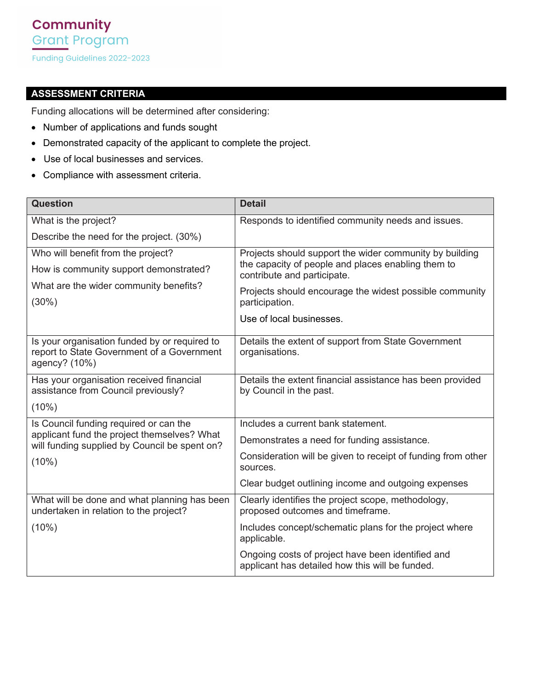# **ASSESSMENT CRITERIA**

Funding allocations will be determined after considering:

- Number of applications and funds sought
- Demonstrated capacity of the applicant to complete the project.
- Use of local businesses and services.
- Compliance with assessment criteria.

| <b>Question</b>                                                                              | <b>Detail</b>                                                                                        |
|----------------------------------------------------------------------------------------------|------------------------------------------------------------------------------------------------------|
| What is the project?                                                                         | Responds to identified community needs and issues.                                                   |
| Describe the need for the project. (30%)                                                     |                                                                                                      |
| Who will benefit from the project?                                                           | Projects should support the wider community by building                                              |
| How is community support demonstrated?                                                       | the capacity of people and places enabling them to<br>contribute and participate.                    |
| What are the wider community benefits?                                                       | Projects should encourage the widest possible community                                              |
| $(30\%)$                                                                                     | participation.                                                                                       |
|                                                                                              | Use of local businesses.                                                                             |
| Is your organisation funded by or required to<br>report to State Government of a Government  | Details the extent of support from State Government                                                  |
| agency? (10%)                                                                                | organisations.                                                                                       |
| Has your organisation received financial                                                     | Details the extent financial assistance has been provided                                            |
| assistance from Council previously?                                                          | by Council in the past.                                                                              |
| (10%)                                                                                        |                                                                                                      |
| Is Council funding required or can the                                                       | Includes a current bank statement.                                                                   |
| applicant fund the project themselves? What<br>will funding supplied by Council be spent on? | Demonstrates a need for funding assistance.                                                          |
| (10%)                                                                                        | Consideration will be given to receipt of funding from other<br>sources.                             |
|                                                                                              | Clear budget outlining income and outgoing expenses                                                  |
| What will be done and what planning has been<br>undertaken in relation to the project?       | Clearly identifies the project scope, methodology,<br>proposed outcomes and timeframe.               |
| $(10\%)$                                                                                     | Includes concept/schematic plans for the project where<br>applicable.                                |
|                                                                                              | Ongoing costs of project have been identified and<br>applicant has detailed how this will be funded. |